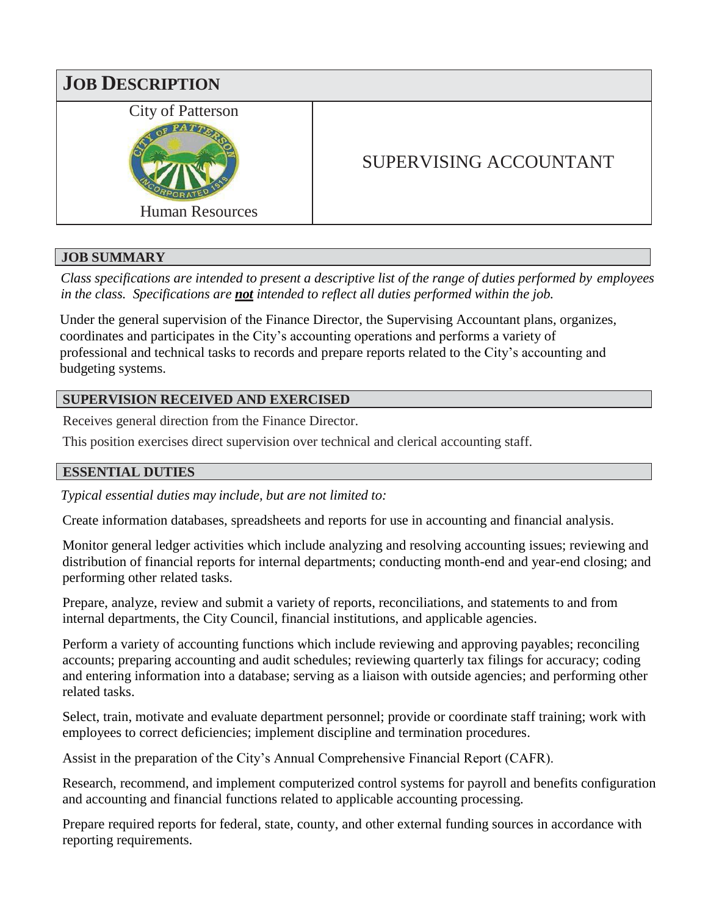

#### **JOB SUMMARY**

*Class specifications are intended to present a descriptive list of the range of duties performed by employees in the class. Specifications are not intended to reflect all duties performed within the job.*

Under the general supervision of the Finance Director, the Supervising Accountant plans, organizes, coordinates and participates in the City's accounting operations and performs a variety of professional and technical tasks to records and prepare reports related to the City's accounting and budgeting systems.

# **SUPERVISION RECEIVED AND EXERCISED**

Receives general direction from the Finance Director.

This position exercises direct supervision over technical and clerical accounting staff.

## **ESSENTIAL DUTIES**

*Typical essential duties may include, but are not limited to:*

Create information databases, spreadsheets and reports for use in accounting and financial analysis.

Monitor general ledger activities which include analyzing and resolving accounting issues; reviewing and distribution of financial reports for internal departments; conducting month-end and year-end closing; and performing other related tasks.

Prepare, analyze, review and submit a variety of reports, reconciliations, and statements to and from internal departments, the City Council, financial institutions, and applicable agencies.

Perform a variety of accounting functions which include reviewing and approving payables; reconciling accounts; preparing accounting and audit schedules; reviewing quarterly tax filings for accuracy; coding and entering information into a database; serving as a liaison with outside agencies; and performing other related tasks.

Select, train, motivate and evaluate department personnel; provide or coordinate staff training; work with employees to correct deficiencies; implement discipline and termination procedures.

Assist in the preparation of the City's Annual Comprehensive Financial Report (CAFR).

Research, recommend, and implement computerized control systems for payroll and benefits configuration and accounting and financial functions related to applicable accounting processing.

Prepare required reports for federal, state, county, and other external funding sources in accordance with reporting requirements.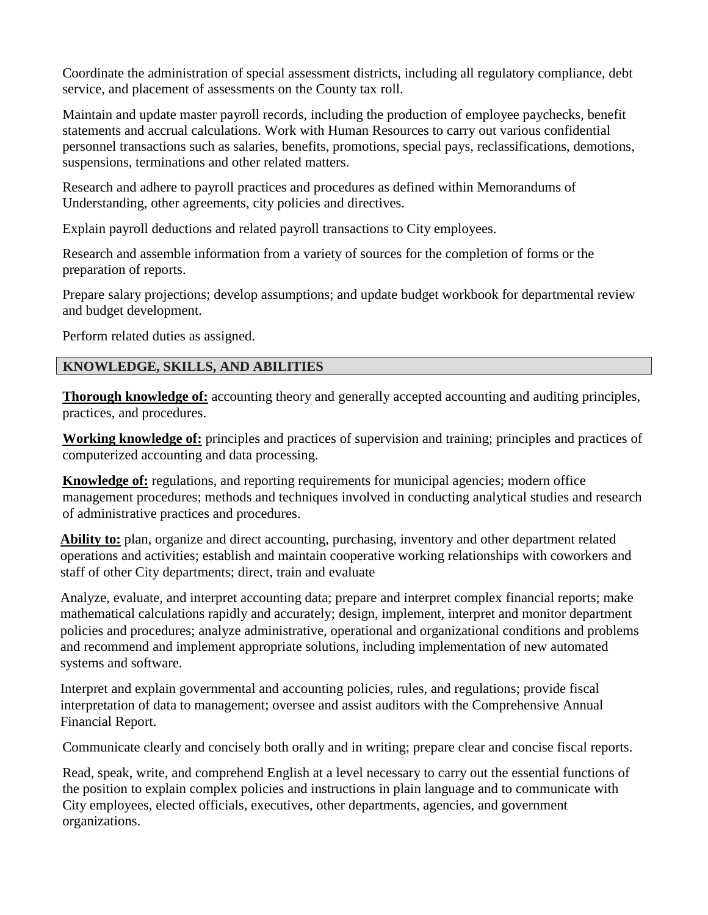Coordinate the administration of special assessment districts, including all regulatory compliance, debt service, and placement of assessments on the County tax roll.

Maintain and update master payroll records, including the production of employee paychecks, benefit statements and accrual calculations. Work with Human Resources to carry out various confidential personnel transactions such as salaries, benefits, promotions, special pays, reclassifications, demotions, suspensions, terminations and other related matters.

Research and adhere to payroll practices and procedures as defined within Memorandums of Understanding, other agreements, city policies and directives.

Explain payroll deductions and related payroll transactions to City employees.

Research and assemble information from a variety of sources for the completion of forms or the preparation of reports.

Prepare salary projections; develop assumptions; and update budget workbook for departmental review and budget development.

Perform related duties as assigned.

# **KNOWLEDGE, SKILLS, AND ABILITIES**

**Thorough knowledge of:** accounting theory and generally accepted accounting and auditing principles, practices, and procedures.

**Working knowledge of:** principles and practices of supervision and training; principles and practices of computerized accounting and data processing.

**Knowledge of:** regulations, and reporting requirements for municipal agencies; modern office management procedures; methods and techniques involved in conducting analytical studies and research of administrative practices and procedures.

**Ability to:** plan, organize and direct accounting, purchasing, inventory and other department related operations and activities; establish and maintain cooperative working relationships with coworkers and staff of other City departments; direct, train and evaluate

Analyze, evaluate, and interpret accounting data; prepare and interpret complex financial reports; make mathematical calculations rapidly and accurately; design, implement, interpret and monitor department policies and procedures; analyze administrative, operational and organizational conditions and problems and recommend and implement appropriate solutions, including implementation of new automated systems and software.

Interpret and explain governmental and accounting policies, rules, and regulations; provide fiscal interpretation of data to management; oversee and assist auditors with the Comprehensive Annual Financial Report.

Communicate clearly and concisely both orally and in writing; prepare clear and concise fiscal reports.

Read, speak, write, and comprehend English at a level necessary to carry out the essential functions of the position to explain complex policies and instructions in plain language and to communicate with City employees, elected officials, executives, other departments, agencies, and government organizations.